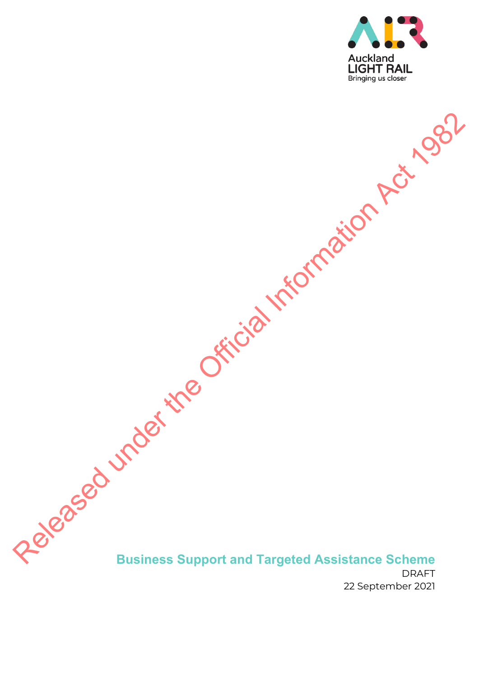

# **Business Support and Targeted Assistance Scheme**  DRAFT Released under the Official Information Act 1982

22 September 2021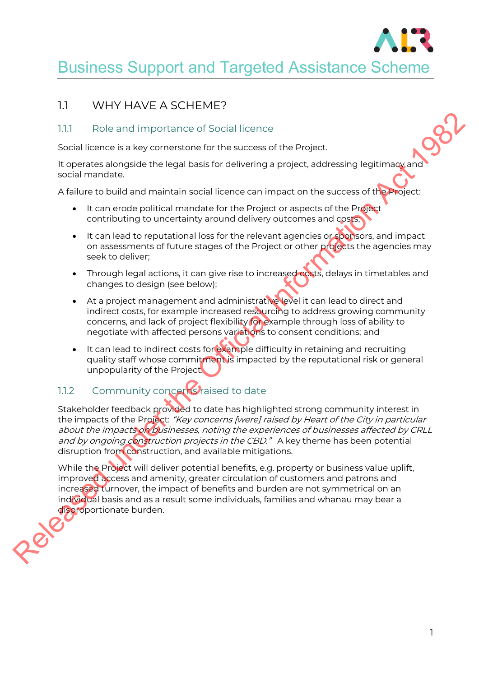

# Business Support and Targeted Assistance Scheme

## 1.1 WHY HAVE A SCHEME?

#### 1.1.1 Role and importance of Social licence

Social licence is a key cornerstone for the success of the Project.

It operates alongside the legal basis for delivering a project, addressing legitimacy and social mandate.

A failure to build and maintain social licence can impact on the success of the Project:

- It can erode political mandate for the Project or aspects of the Project contributing to uncertainty around delivery outcomes and costs;
- It can lead to reputational loss for the relevant agencies or sponsors, and impact on assessments of future stages of the Project or other projects the agencies may seek to deliver;
- Through legal actions, it can give rise to increased costs, delays in timetables and changes to design (see below);
- At a project management and administrative level it can lead to direct and indirect costs, for example increased resourcing to address growing community concerns, and lack of project flexibility for example through loss of ability to negotiate with affected persons variations to consent conditions; and
- It can lead to indirect costs for example difficulty in retaining and recruiting quality staff whose commitment is impacted by the reputational risk or general unpopularity of the Project.

# 1.1.2 Community concerrist raised to date

Stakeholder feedback provided to date has highlighted strong community interest in the impacts of the Project: "Key concerns [were] raised by Heart of the City in particular about the impacts on businesses, noting the experiences of businesses affected by CRLL and by ongoing construction projects in the CBD." A key theme has been potential disruption from construction, and available mitigations. 1.1.1 Role and importance of Social licence<br>
Social licence<br>
Social licence<br>
to control a key connection for the success of the Project.<br>
The other succession the line of social licence can impact on the success of the Pr

While the Project will deliver potential benefits, e.g. property or business value uplift, improved access and amenity, greater circulation of customers and patrons and increased turnover, the impact of benefits and burden are not symmetrical on an individual basis and as a result some individuals, families and whanau may bear a disproportionate burden.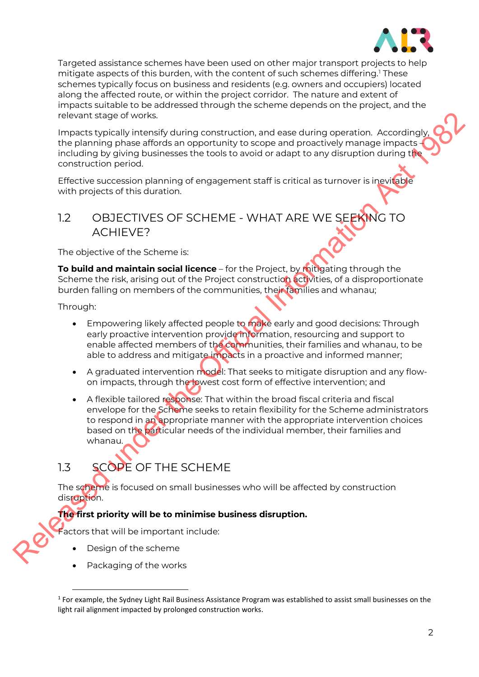

Targeted assistance schemes have been used on other major transport projects to help mitigate aspects of this burden, with the content of such schemes differing.1 These schemes typically focus on business and residents (e.g. owners and occupiers) located along the affected route, or within the project corridor. The nature and extent of impacts suitable to be addressed through the scheme depends on the project, and the relevant stage of works.

Impacts typically intensify during construction, and ease during operation. Accordingly, the planning phase affords an opportunity to scope and proactively manage impacts – including by giving businesses the tools to avoid or adapt to any disruption during the construction period.

Effective succession planning of engagement staff is critical as turnover is inevitable with projects of this duration.

## 1.2 OBJECTIVES OF SCHEME - WHAT ARE WE SEEKING TO ACHIEVE?

The objective of the Scheme is:

**To build and maintain social licence** – for the Project, by mitigating through the Scheme the risk, arising out of the Project construction activities, of a disproportionate burden falling on members of the communities, their families and whanau;

Through:

- Empowering likely affected people to make early and good decisions: Through early proactive intervention provide information, resourcing and support to enable affected members of the communities, their families and whanau, to be able to address and mitigate impacts in a proactive and informed manner;
- A graduated intervention model: That seeks to mitigate disruption and any flowon impacts, through the lowest cost form of effective intervention; and
- A flexible tailored response: That within the broad fiscal criteria and fiscal envelope for the Scheme seeks to retain flexibility for the Scheme administrators to respond in an appropriate manner with the appropriate intervention choices based on the particular needs of the individual member, their families and whanau. relevant stage of voids.<br>
The parameter speed visit interactive construction, and ease during operation. Accordingly,<br>
the planing phase affords an operation to accordingly<br>
the planing phase affords an operation Act 1982<br>

# 1.3 SCOPE OF THE SCHEME

The scheme is focused on small businesses who will be affected by construction disruption.

#### **The first priority will be to minimise business disruption.**

Factors that will be important include:

- Design of the scheme
- Packaging of the works

 $1$  For example, the Sydney Light Rail Business Assistance Program was established to assist small businesses on the light rail alignment impacted by prolonged construction works.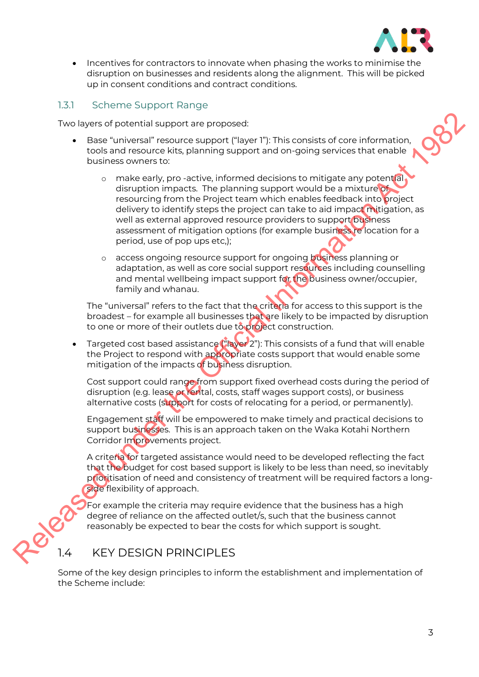

• Incentives for contractors to innovate when phasing the works to minimise the disruption on businesses and residents along the alignment. This will be picked up in consent conditions and contract conditions.

#### 1.3.1 Scheme Support Range

Two layers of potential support are proposed:

- Base "universal" resource support ("layer 1"): This consists of core information, tools and resource kits, planning support and on-going services that enable business owners to:
- o make early, pro -active, informed decisions to mitigate any potential disruption impacts. The planning support would be a mixture of resourcing from the Project team which enables feedback into project delivery to identify steps the project can take to aid impact mitigation, as well as external approved resource providers to support business assessment of mitigation options (for example business re location for a period, use of pop ups etc,); Two layers of potential support are proposed:<br>
took and resource autoposition and on-going services that enable<br>
took and resource aits, planning support and on-going services that enable<br>
business women to:<br>  $\alpha$  make ea
	- o access ongoing resource support for ongoing business planning or adaptation, as well as core social support resources including counselling and mental wellbeing impact support for the business owner/occupier, family and whanau.

The "universal" refers to the fact that the criteria for access to this support is the broadest – for example all businesses that are likely to be impacted by disruption to one or more of their outlets due to project construction.

Targeted cost based assistance ("layer 2"): This consists of a fund that will enable the Project to respond with appropriate costs support that would enable some mitigation of the impacts of business disruption.

Cost support could range from support fixed overhead costs during the period of disruption (e.g. lease or rental, costs, staff wages support costs), or business alternative costs (support for costs of relocating for a period, or permanently).

Engagement staff will be empowered to make timely and practical decisions to support businesses. This is an approach taken on the Waka Kotahi Northern Corridor Improvements project.

A criteria for targeted assistance would need to be developed reflecting the fact that the budget for cost based support is likely to be less than need, so inevitably prioritisation of need and consistency of treatment will be required factors a longside flexibility of approach.

For example the criteria may require evidence that the business has a high degree of reliance on the affected outlet/s, such that the business cannot reasonably be expected to bear the costs for which support is sought.

### 1.4 KEY DESIGN PRINCIPLES

Some of the key design principles to inform the establishment and implementation of the Scheme include: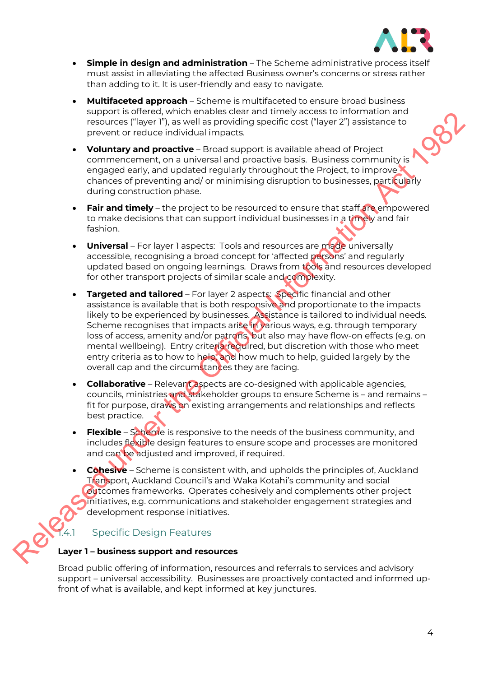

- **Simple in design and administration** The Scheme administrative process itself must assist in alleviating the affected Business owner's concerns or stress rather than adding to it. It is user-friendly and easy to navigate.
- **Multifaceted approach** Scheme is multifaceted to ensure broad business support is offered, which enables clear and timely access to information and resources ("layer 1"), as well as providing specific cost ("layer 2") assistance to prevent or reduce individual impacts.
- **Voluntary and proactive** Broad support is available ahead of Project commencement, on a universal and proactive basis. Business community is engaged early, and updated regularly throughout the Project, to improve chances of preventing and/ or minimising disruption to businesses, particularly during construction phase.
- **Fair and timely** the project to be resourced to ensure that staff are empowered to make decisions that can support individual businesses in a timely and fair fashion.
- **Universal** For layer 1 aspects: Tools and resources are made universally accessible, recognising a broad concept for 'affected persons' and regularly updated based on ongoing learnings. Draws from tools and resources developed for other transport projects of similar scale and complexity.
- **Targeted and tailored** For layer 2 aspects: Specific financial and other assistance is available that is both responsive and proportionate to the impacts likely to be experienced by businesses. Assistance is tailored to individual needs. Scheme recognises that impacts arise in various ways, e.g. through temporary loss of access, amenity and/or patrons, but also may have flow-on effects (e.g. on mental wellbeing). Entry criteria required, but discretion with those who meet entry criteria as to how to help, and how much to help, guided largely by the overall cap and the circumstances they are facing. Supports to the two three latters cleared with the public stress to the minimizarities of the Contents of the Contents of the Contents of the Official Information Act 1982 and the Contents of the Official Information Act 1
	- **Collaborative** Relevant aspects are co-designed with applicable agencies, councils, ministries and stakeholder groups to ensure Scheme is – and remains – fit for purpose, draws on existing arrangements and relationships and reflects best practice.
	- **Flexible** Scheme is responsive to the needs of the business community, and includes flexible design features to ensure scope and processes are monitored and can be adjusted and improved, if required.
	- **Cohesive** Scheme is consistent with, and upholds the principles of, Auckland Transport, Auckland Council's and Waka Kotahi's community and social outcomes frameworks. Operates cohesively and complements other project initiatives, e.g. communications and stakeholder engagement strategies and development response initiatives.

## Specific Design Features

#### **Layer 1 – business support and resources**

Broad public offering of information, resources and referrals to services and advisory support – universal accessibility. Businesses are proactively contacted and informed upfront of what is available, and kept informed at key junctures.